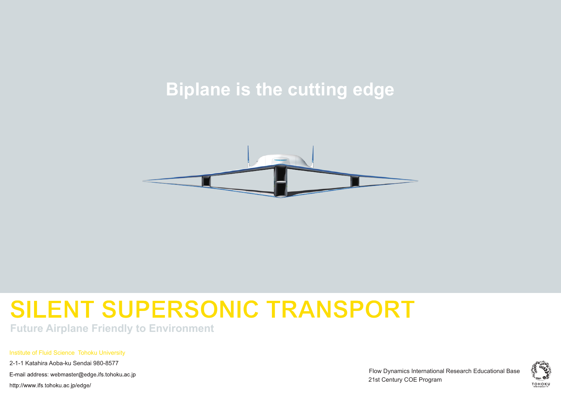# **Biplane is the cutting edge**



# **SILENT SUPERSONIC TRANSPORT**

**Future Airplane Friendly to Environment**

Institute of Fluid Science Tohoku University

2-1-1 Katahira Aoba-ku Sendai 980-8577

E-mail address: webmaster@edge ifs tohoku ac ip

http://www.ifs.tohoku.ac.jp/edge/